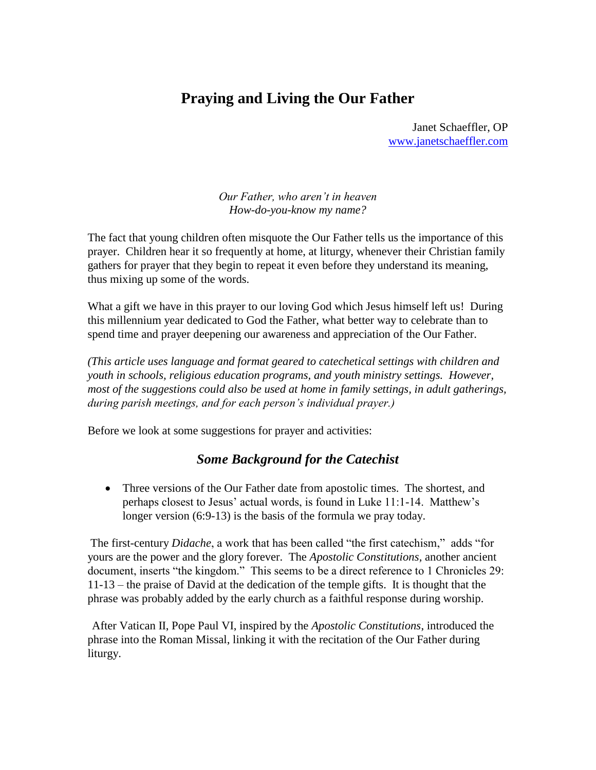## **Praying and Living the Our Father**

Janet Schaeffler, OP [www.janetschaeffler.com](http://www.janetschaeffler.com/)

*Our Father, who aren't in heaven How-do-you-know my name?*

The fact that young children often misquote the Our Father tells us the importance of this prayer. Children hear it so frequently at home, at liturgy, whenever their Christian family gathers for prayer that they begin to repeat it even before they understand its meaning, thus mixing up some of the words.

What a gift we have in this prayer to our loving God which Jesus himself left us! During this millennium year dedicated to God the Father, what better way to celebrate than to spend time and prayer deepening our awareness and appreciation of the Our Father.

*(This article uses language and format geared to catechetical settings with children and youth in schools, religious education programs, and youth ministry settings. However, most of the suggestions could also be used at home in family settings, in adult gatherings, during parish meetings, and for each person's individual prayer.)*

Before we look at some suggestions for prayer and activities:

## *Some Background for the Catechist*

 Three versions of the Our Father date from apostolic times. The shortest, and perhaps closest to Jesus' actual words, is found in Luke 11:1-14. Matthew's longer version (6:9-13) is the basis of the formula we pray today.

The first-century *Didache*, a work that has been called "the first catechism," adds "for yours are the power and the glory forever. The *Apostolic Constitutions,* another ancient document, inserts "the kingdom." This seems to be a direct reference to 1 Chronicles 29: 11-13 – the praise of David at the dedication of the temple gifts. It is thought that the phrase was probably added by the early church as a faithful response during worship.

After Vatican II, Pope Paul VI, inspired by the *Apostolic Constitutions*, introduced the phrase into the Roman Missal, linking it with the recitation of the Our Father during liturgy.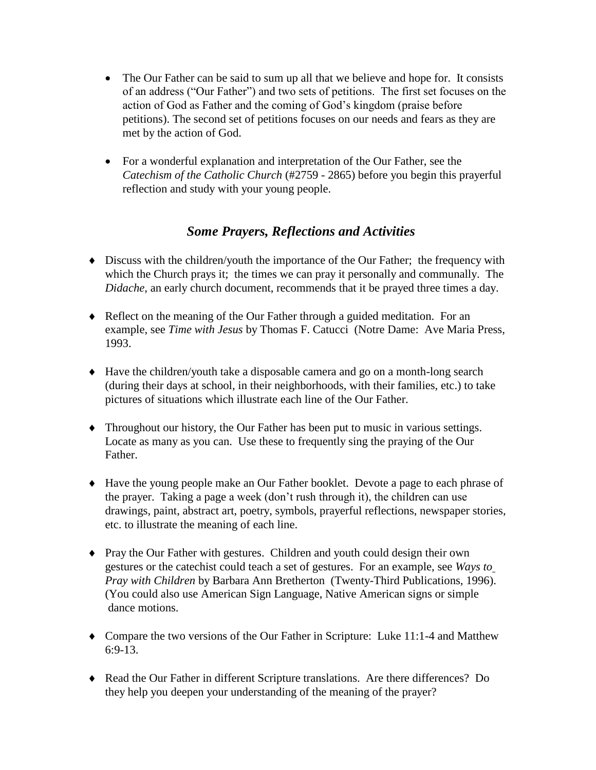- The Our Father can be said to sum up all that we believe and hope for. It consists of an address ("Our Father") and two sets of petitions. The first set focuses on the action of God as Father and the coming of God's kingdom (praise before petitions). The second set of petitions focuses on our needs and fears as they are met by the action of God.
- For a wonderful explanation and interpretation of the Our Father, see the *Catechism of the Catholic Church* (#2759 - 2865) before you begin this prayerful reflection and study with your young people.

## *Some Prayers, Reflections and Activities*

- Discuss with the children/youth the importance of the Our Father; the frequency with which the Church prays it; the times we can pray it personally and communally. The *Didache*, an early church document, recommends that it be prayed three times a day.
- Reflect on the meaning of the Our Father through a guided meditation. For an example, see *Time with Jesus* by Thomas F. Catucci (Notre Dame: Ave Maria Press, 1993.
- Have the children/youth take a disposable camera and go on a month-long search (during their days at school, in their neighborhoods, with their families, etc.) to take pictures of situations which illustrate each line of the Our Father.
- Throughout our history, the Our Father has been put to music in various settings. Locate as many as you can. Use these to frequently sing the praying of the Our Father.
- Have the young people make an Our Father booklet. Devote a page to each phrase of the prayer. Taking a page a week (don't rush through it), the children can use drawings, paint, abstract art, poetry, symbols, prayerful reflections, newspaper stories, etc. to illustrate the meaning of each line.
- Pray the Our Father with gestures. Children and youth could design their own gestures or the catechist could teach a set of gestures. For an example, see *Ways to Pray with Children* by Barbara Ann Bretherton (Twenty-Third Publications, 1996). (You could also use American Sign Language, Native American signs or simple dance motions.
- Compare the two versions of the Our Father in Scripture: Luke 11:1-4 and Matthew 6:9-13.
- Read the Our Father in different Scripture translations. Are there differences? Do they help you deepen your understanding of the meaning of the prayer?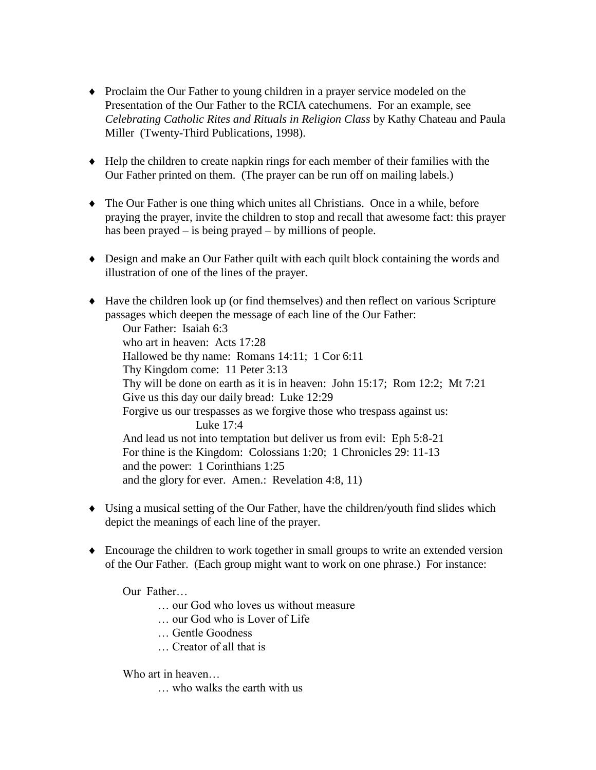- Proclaim the Our Father to young children in a prayer service modeled on the Presentation of the Our Father to the RCIA catechumens. For an example, see *Celebrating Catholic Rites and Rituals in Religion Class* by Kathy Chateau and Paula Miller (Twenty-Third Publications, 1998).
- Help the children to create napkin rings for each member of their families with the Our Father printed on them. (The prayer can be run off on mailing labels.)
- The Our Father is one thing which unites all Christians. Once in a while, before praying the prayer, invite the children to stop and recall that awesome fact: this prayer has been prayed – is being prayed – by millions of people.
- Design and make an Our Father quilt with each quilt block containing the words and illustration of one of the lines of the prayer.
- Have the children look up (or find themselves) and then reflect on various Scripture passages which deepen the message of each line of the Our Father:

Our Father: Isaiah 6:3 who art in heaven: Acts 17:28 Hallowed be thy name: Romans 14:11; 1 Cor 6:11 Thy Kingdom come: 11 Peter 3:13 Thy will be done on earth as it is in heaven: John 15:17; Rom 12:2; Mt 7:21 Give us this day our daily bread: Luke 12:29 Forgive us our trespasses as we forgive those who trespass against us: Luke 17:4 And lead us not into temptation but deliver us from evil: Eph 5:8-21 For thine is the Kingdom: Colossians 1:20; 1 Chronicles 29: 11-13 and the power: 1 Corinthians 1:25 and the glory for ever. Amen.: Revelation 4:8, 11)

- Using a musical setting of the Our Father, have the children/youth find slides which depict the meanings of each line of the prayer.
- Encourage the children to work together in small groups to write an extended version of the Our Father. (Each group might want to work on one phrase.) For instance:

Our Father…

- … our God who loves us without measure
- … our God who is Lover of Life
- … Gentle Goodness
- … Creator of all that is

Who art in heaven…

… who walks the earth with us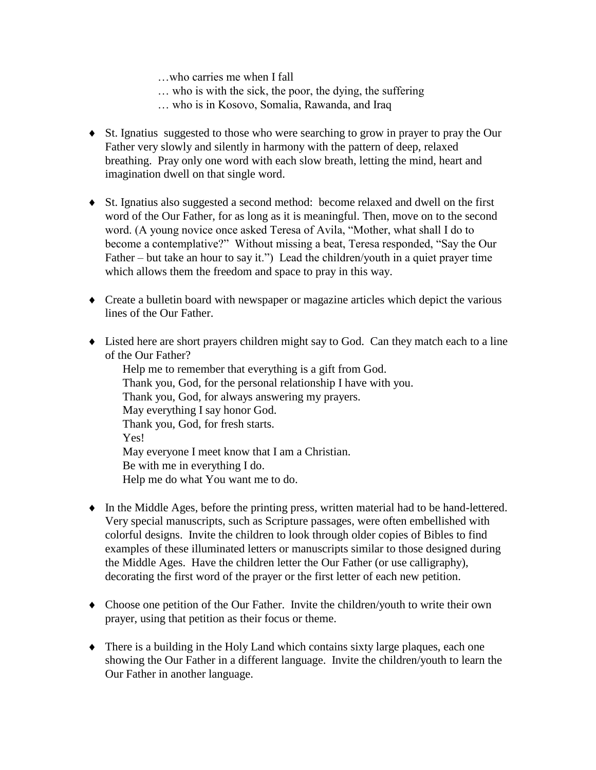…who carries me when I fall

- … who is with the sick, the poor, the dying, the suffering
- … who is in Kosovo, Somalia, Rawanda, and Iraq
- St. Ignatius suggested to those who were searching to grow in prayer to pray the Our Father very slowly and silently in harmony with the pattern of deep, relaxed breathing. Pray only one word with each slow breath, letting the mind, heart and imagination dwell on that single word.
- St. Ignatius also suggested a second method: become relaxed and dwell on the first word of the Our Father, for as long as it is meaningful. Then, move on to the second word. (A young novice once asked Teresa of Avila, "Mother, what shall I do to become a contemplative?" Without missing a beat, Teresa responded, "Say the Our Father – but take an hour to say it.") Lead the children/youth in a quiet prayer time which allows them the freedom and space to pray in this way.
- Create a bulletin board with newspaper or magazine articles which depict the various lines of the Our Father.
- Listed here are short prayers children might say to God. Can they match each to a line of the Our Father?

Help me to remember that everything is a gift from God. Thank you, God, for the personal relationship I have with you. Thank you, God, for always answering my prayers. May everything I say honor God. Thank you, God, for fresh starts. Yes! May everyone I meet know that I am a Christian. Be with me in everything I do. Help me do what You want me to do.

- In the Middle Ages, before the printing press, written material had to be hand-lettered. Very special manuscripts, such as Scripture passages, were often embellished with colorful designs. Invite the children to look through older copies of Bibles to find examples of these illuminated letters or manuscripts similar to those designed during the Middle Ages. Have the children letter the Our Father (or use calligraphy), decorating the first word of the prayer or the first letter of each new petition.
- Choose one petition of the Our Father. Invite the children/youth to write their own prayer, using that petition as their focus or theme.
- There is a building in the Holy Land which contains sixty large plaques, each one showing the Our Father in a different language. Invite the children/youth to learn the Our Father in another language.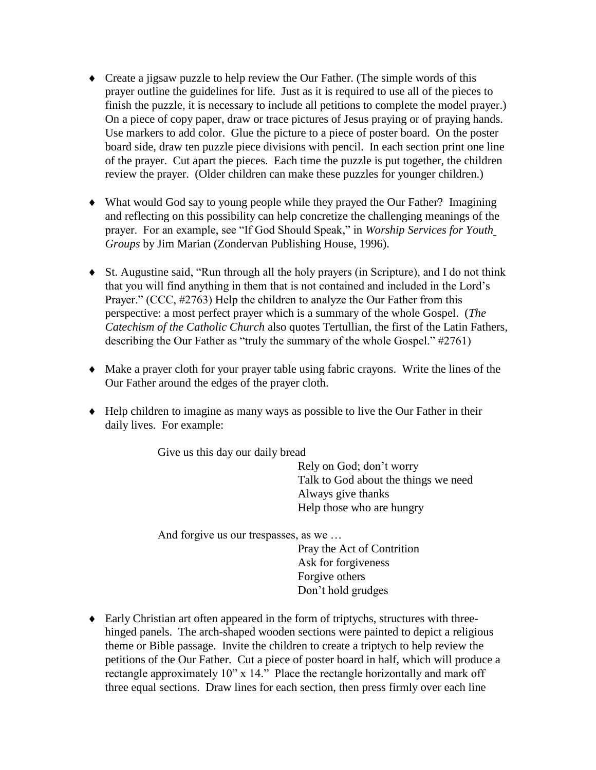- Create a jigsaw puzzle to help review the Our Father. (The simple words of this prayer outline the guidelines for life. Just as it is required to use all of the pieces to finish the puzzle, it is necessary to include all petitions to complete the model prayer.) On a piece of copy paper, draw or trace pictures of Jesus praying or of praying hands. Use markers to add color. Glue the picture to a piece of poster board. On the poster board side, draw ten puzzle piece divisions with pencil. In each section print one line of the prayer. Cut apart the pieces. Each time the puzzle is put together, the children review the prayer. (Older children can make these puzzles for younger children.)
- What would God say to young people while they prayed the Our Father? Imagining and reflecting on this possibility can help concretize the challenging meanings of the prayer. For an example, see "If God Should Speak," in *Worship Services for Youth Groups* by Jim Marian (Zondervan Publishing House, 1996).
- St. Augustine said, "Run through all the holy prayers (in Scripture), and I do not think that you will find anything in them that is not contained and included in the Lord's Prayer." (CCC, #2763) Help the children to analyze the Our Father from this perspective: a most perfect prayer which is a summary of the whole Gospel. (*The Catechism of the Catholic Church* also quotes Tertullian, the first of the Latin Fathers, describing the Our Father as "truly the summary of the whole Gospel." #2761)
- Make a prayer cloth for your prayer table using fabric crayons. Write the lines of the Our Father around the edges of the prayer cloth.
- Help children to imagine as many ways as possible to live the Our Father in their daily lives. For example:

Give us this day our daily bread

Rely on God; don't worry Talk to God about the things we need Always give thanks Help those who are hungry

And forgive us our trespasses, as we …

Pray the Act of Contrition Ask for forgiveness Forgive others Don't hold grudges

 Early Christian art often appeared in the form of triptychs, structures with threehinged panels. The arch-shaped wooden sections were painted to depict a religious theme or Bible passage. Invite the children to create a triptych to help review the petitions of the Our Father. Cut a piece of poster board in half, which will produce a rectangle approximately 10" x 14." Place the rectangle horizontally and mark off three equal sections. Draw lines for each section, then press firmly over each line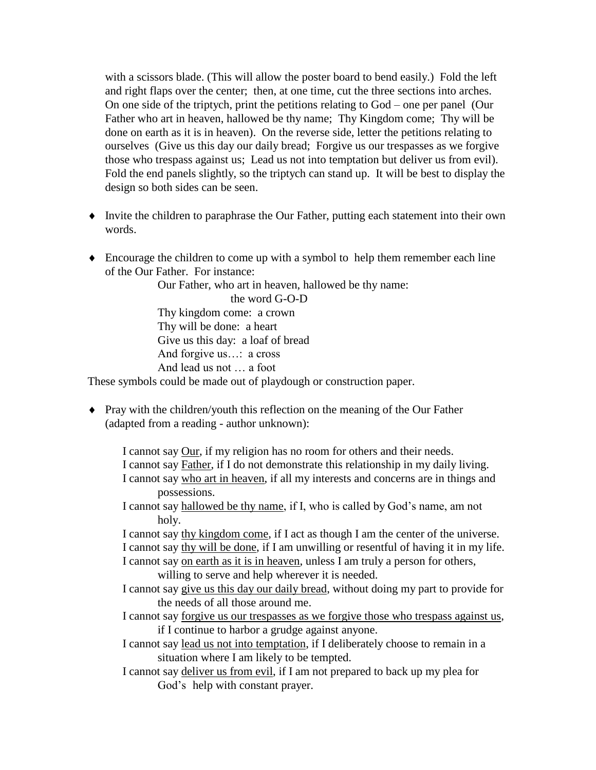with a scissors blade. (This will allow the poster board to bend easily.) Fold the left and right flaps over the center; then, at one time, cut the three sections into arches. On one side of the triptych, print the petitions relating to God – one per panel (Our Father who art in heaven, hallowed be thy name; Thy Kingdom come; Thy will be done on earth as it is in heaven). On the reverse side, letter the petitions relating to ourselves (Give us this day our daily bread; Forgive us our trespasses as we forgive those who trespass against us; Lead us not into temptation but deliver us from evil). Fold the end panels slightly, so the triptych can stand up. It will be best to display the design so both sides can be seen.

- Invite the children to paraphrase the Our Father, putting each statement into their own words.
- Encourage the children to come up with a symbol to help them remember each line of the Our Father. For instance:

Our Father, who art in heaven, hallowed be thy name:

the word G-O-D

Thy kingdom come: a crown Thy will be done: a heart Give us this day: a loaf of bread And forgive us…: a cross And lead us not … a foot

These symbols could be made out of playdough or construction paper.

• Pray with the children/youth this reflection on the meaning of the Our Father (adapted from a reading - author unknown):

I cannot say Our, if my religion has no room for others and their needs. I cannot say Father, if I do not demonstrate this relationship in my daily living. I cannot say who art in heaven, if all my interests and concerns are in things and possessions.

I cannot say hallowed be thy name, if I, who is called by God's name, am not holy.

I cannot say thy kingdom come, if I act as though I am the center of the universe. I cannot say thy will be done, if I am unwilling or resentful of having it in my life.

I cannot say on earth as it is in heaven, unless I am truly a person for others, willing to serve and help wherever it is needed.

I cannot say give us this day our daily bread, without doing my part to provide for the needs of all those around me.

I cannot say forgive us our trespasses as we forgive those who trespass against us, if I continue to harbor a grudge against anyone.

- I cannot say lead us not into temptation, if I deliberately choose to remain in a situation where I am likely to be tempted.
- I cannot say deliver us from evil, if I am not prepared to back up my plea for God's help with constant prayer.